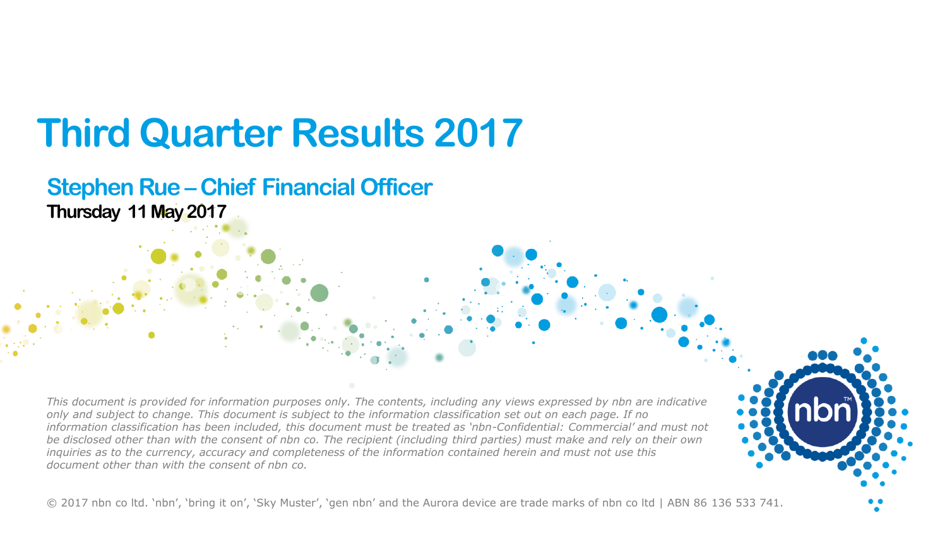# **Third Quarter Results 2017**

#### **Stephen Rue – Chief Financial Officer Thursday 11 May 2017**

*This document is provided for information purposes only. The contents, including any views expressed by nbn are indicative only and subject to change. This document is subject to the information classification set out on each page. If no information classification has been included, this document must be treated as 'nbn-Confidential: Commercial' and must not be disclosed other than with the consent of nbn co. The recipient (including third parties) must make and rely on their own inquiries as to the currency, accuracy and completeness of the information contained herein and must not use this document other than with the consent of nbn co.* 

© 2017 nbn co ltd. 'nbn', 'bring it on', 'Sky Muster', 'gen nbn' and the Aurora device are trade marks of nbn co ltd | ABN 86 136 533 741.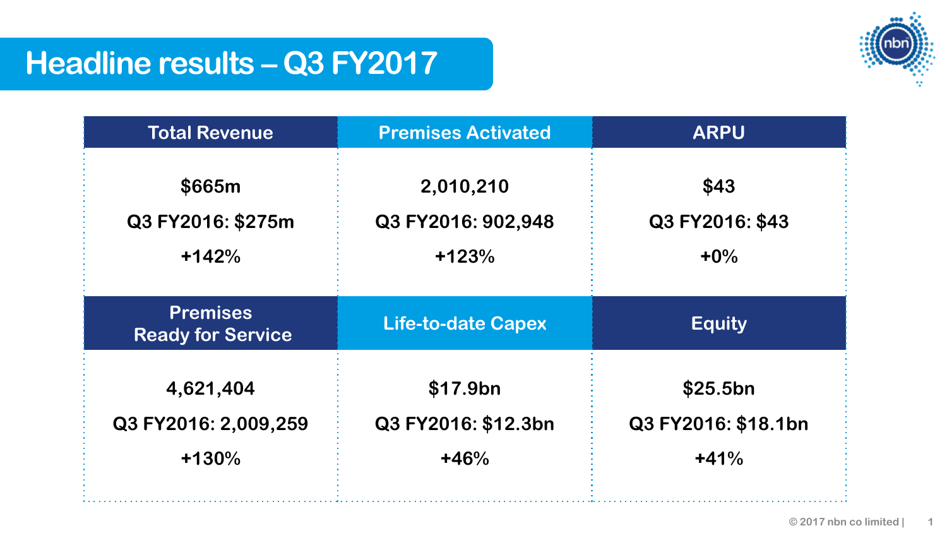

## **Headline results – Q3 FY2017**

| <b>Total Revenue</b>                        | <b>Premises Activated</b> | <b>ARPU</b>         |
|---------------------------------------------|---------------------------|---------------------|
| \$665m                                      | 2,010,210                 | \$43                |
| Q3 FY2016: \$275m                           | Q3 FY2016: 902,948        | Q3 FY2016: \$43     |
| $+142%$                                     | $+123%$                   | $+0\%$              |
| <b>Premises</b><br><b>Ready for Service</b> | <b>Life-to-date Capex</b> | <b>Equity</b>       |
| 4,621,404                                   | \$17.9bn                  | \$25.5bn            |
| Q3 FY2016: 2,009,259                        | Q3 FY2016: \$12.3bn       | Q3 FY2016: \$18.1bn |
| $+130%$                                     | $+46%$                    | $+41%$              |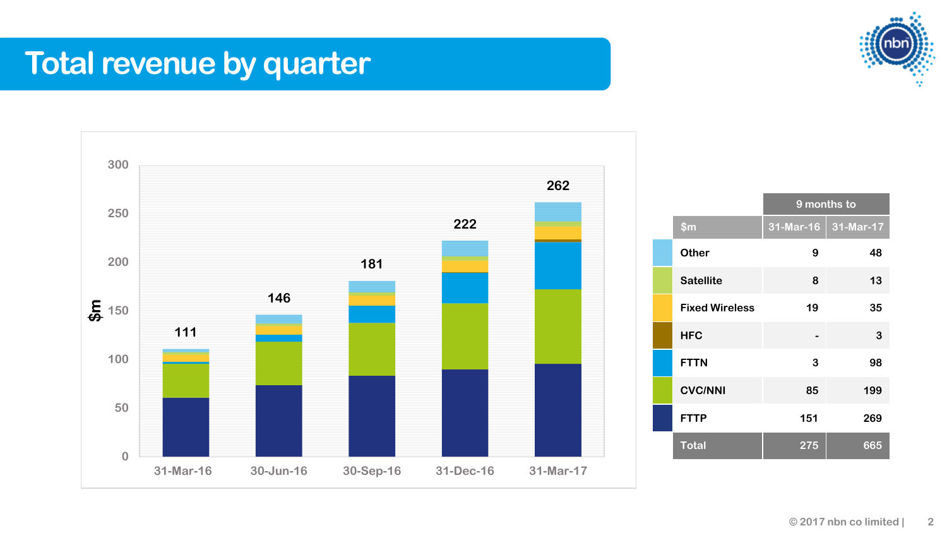## **Total revenue by quarter**



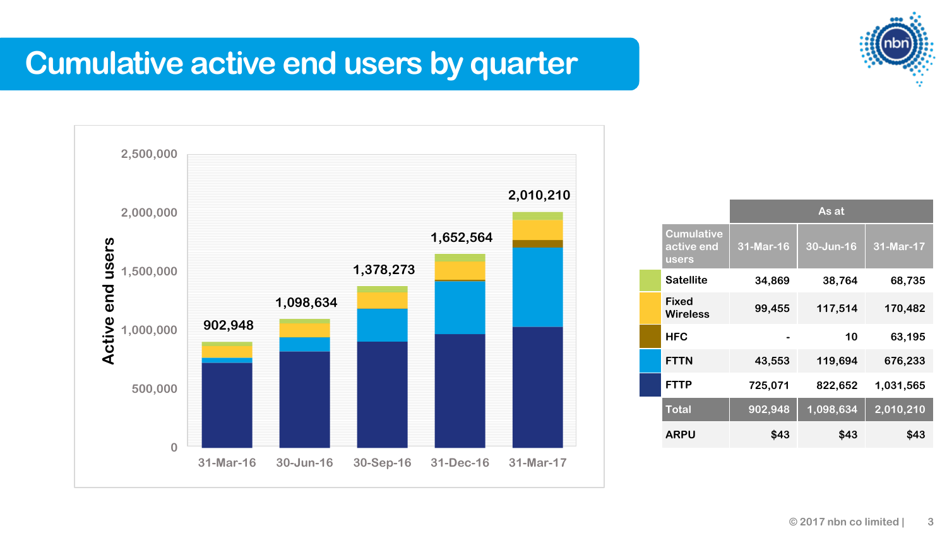

### **Cumulative active end users by quarter**



|                                          | As at     |           |           |
|------------------------------------------|-----------|-----------|-----------|
| <b>Cumulative</b><br>active end<br>users | 31-Mar-16 | 30-Jun-16 | 31-Mar-17 |
| <b>Satellite</b>                         | 34,869    | 38,764    | 68,735    |
| Fixed<br><b>Wireless</b>                 | 99,455    | 117,514   | 170,482   |
| <b>HFC</b>                               |           | 10        | 63,195    |
| <b>FTTN</b>                              | 43,553    | 119,694   | 676,233   |
| <b>FTTP</b>                              | 725,071   | 822,652   | 1,031,565 |
| <b>Total</b>                             | 902,948   | 1,098,634 | 2,010,210 |
| ARPU                                     | \$43      | \$43      | \$43      |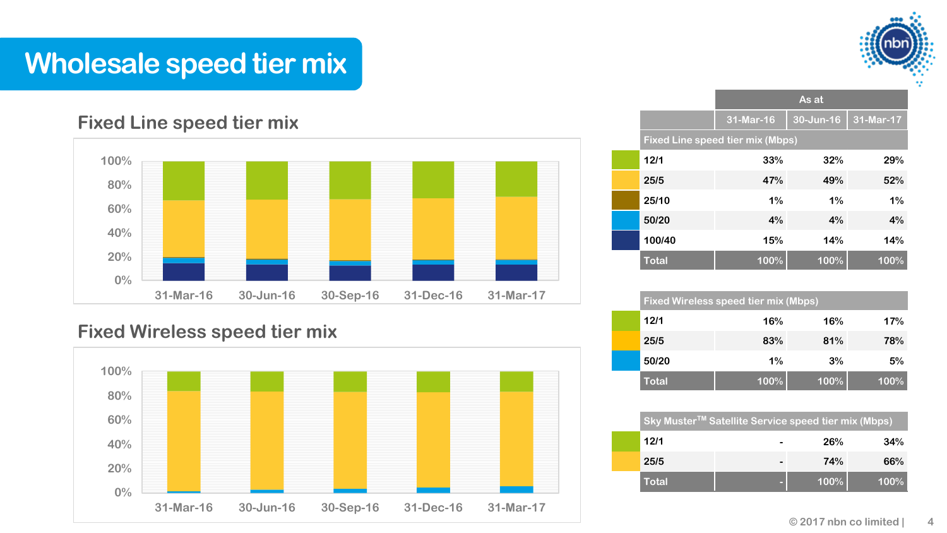

### **Wholesale speed tier mix**

#### **Fixed Line speed tier mix**



#### **Fixed Wireless speed tier mix**



|              | As at                            |           |           |  |  |
|--------------|----------------------------------|-----------|-----------|--|--|
|              | 31-Mar-16                        | 30-Jun-16 | 31-Mar-17 |  |  |
|              | Fixed Line speed tier mix (Mbps) |           |           |  |  |
| 12/1         | 33%                              | 32%       | 29%       |  |  |
| 25/5         | 47%                              | 49%       | 52%       |  |  |
| 25/10        | 1%                               | 1%        | 1%        |  |  |
| 50/20        | 4%                               | 4%        | 4%        |  |  |
| 100/40       | 15%                              | 14%       | 14%       |  |  |
| <b>Total</b> | 100%                             | 100%      | 100%      |  |  |

| <b>Fixed Wireless speed tier mix (Mbps)</b> |      |      |      |
|---------------------------------------------|------|------|------|
| 12/1                                        | 16%  | 16%  | 17%  |
| 25/5                                        | 83%  | 81%  | 78%  |
| 50/20                                       | 1%   | 3%   | 5%   |
| <b>Total</b>                                | 100% | 100% | 100% |

| Sky Muster <sup>™</sup> Satellite Service speed tier mix (Mbps) |  |      |      |  |  |
|-----------------------------------------------------------------|--|------|------|--|--|
| 12/1                                                            |  | 26%  | 34%  |  |  |
| 25/5                                                            |  | 74%  | 66%  |  |  |
| <b>Total</b>                                                    |  | 100% | 100% |  |  |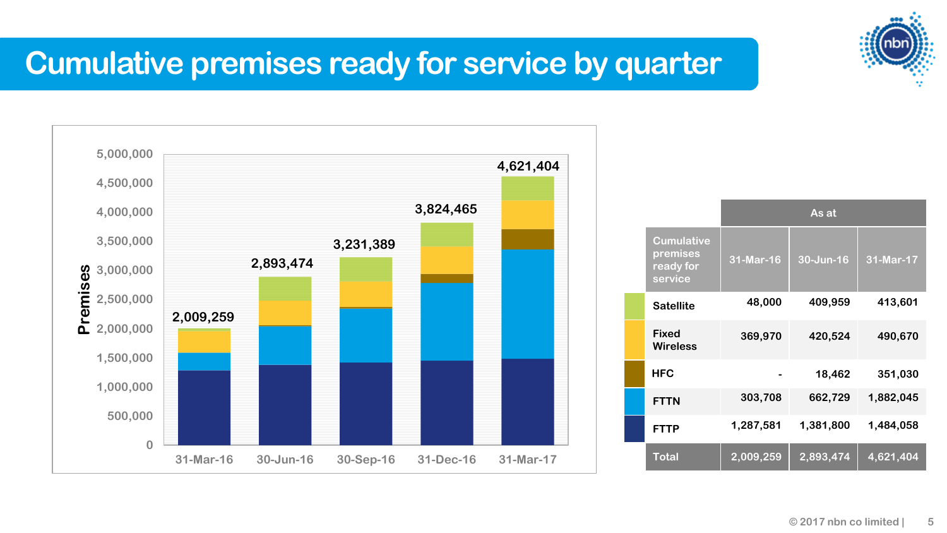### **Cumulative premises ready for service by quarter**



|                                                       | As at     |           |           |  |
|-------------------------------------------------------|-----------|-----------|-----------|--|
| <b>Cumulative</b><br>premises<br>ready for<br>service | 31-Mar-16 | 30-Jun-16 | 31-Mar-17 |  |
| <b>Satellite</b>                                      | 48,000    | 409,959   | 413,601   |  |
| <b>Fixed</b><br><b>Wireless</b>                       | 369,970   | 420,524   | 490,670   |  |
| <b>HFC</b>                                            |           | 18,462    | 351,030   |  |
| <b>FTTN</b>                                           | 303,708   | 662,729   | 1,882,045 |  |
| <b>FTTP</b>                                           | 1,287,581 | 1,381,800 | 1,484,058 |  |
| <b>Total</b>                                          | 2,009,259 | 2,893,474 | 4,621,404 |  |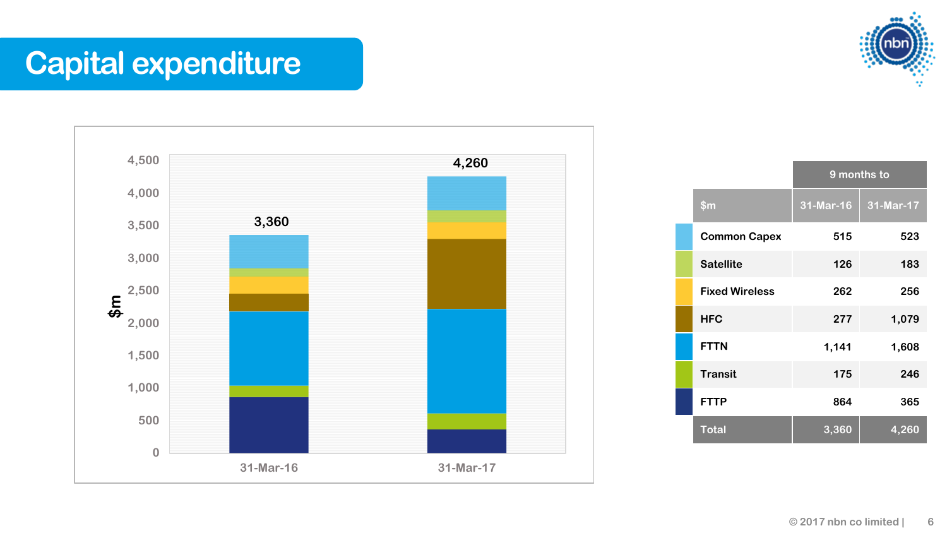### **Capital expenditure**



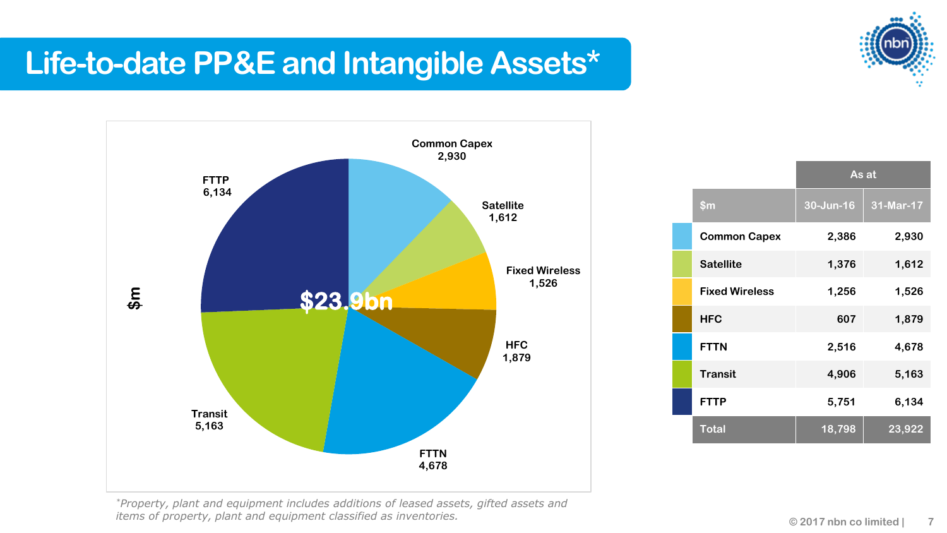### **Life-to-date PP&E and Intangible Assets\***





|                       | As at     |           |  |
|-----------------------|-----------|-----------|--|
| \$m\$                 | 30-Jun-16 | 31-Mar-17 |  |
| <b>Common Capex</b>   | 2,386     | 2,930     |  |
| <b>Satellite</b>      | 1,376     | 1,612     |  |
| <b>Fixed Wireless</b> | 1,256     | 1,526     |  |
| <b>HFC</b>            | 607       | 1,879     |  |
| <b>FTTN</b>           | 2,516     | 4,678     |  |
| <b>Transit</b>        | 4,906     | 5,163     |  |
| <b>FTTP</b>           | 5,751     | 6,134     |  |
| <b>Total</b>          | 18,798    | 23,922    |  |

*\*Property, plant and equipment includes additions of leased assets, gifted assets and items of property, plant and equipment classified as inventories. Conserversion and area in the collimited limited |*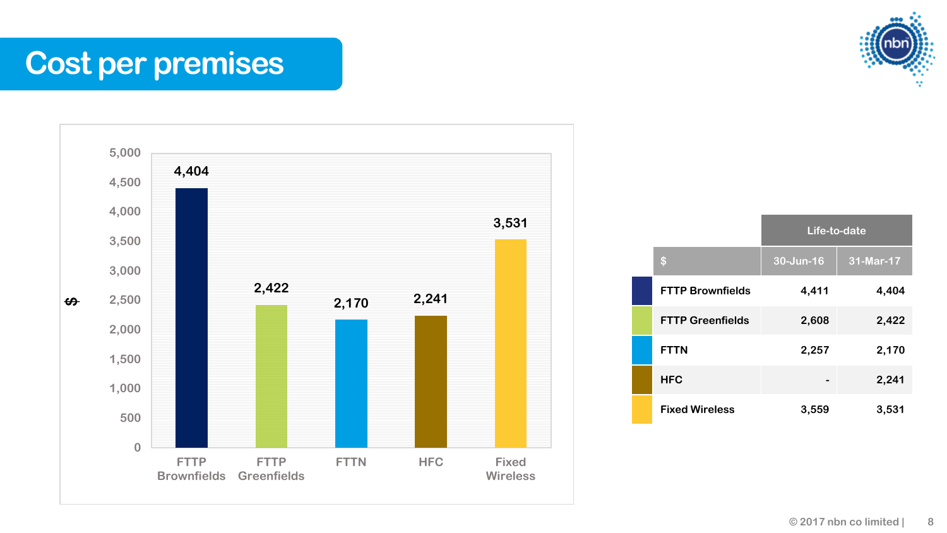**Cost per premises**





|                         | Life-to-date |           |  |
|-------------------------|--------------|-----------|--|
| \$                      | 30-Jun-16    | 31-Mar-17 |  |
| <b>FTTP Brownfields</b> | 4,411        | 4,404     |  |
| <b>FTTP Greenfields</b> | 2,608        | 2,422     |  |
| <b>FTTN</b>             | 2,257        | 2,170     |  |
| <b>HFC</b>              |              | 2,241     |  |
| <b>Fixed Wireless</b>   | 3,559        | 3,531     |  |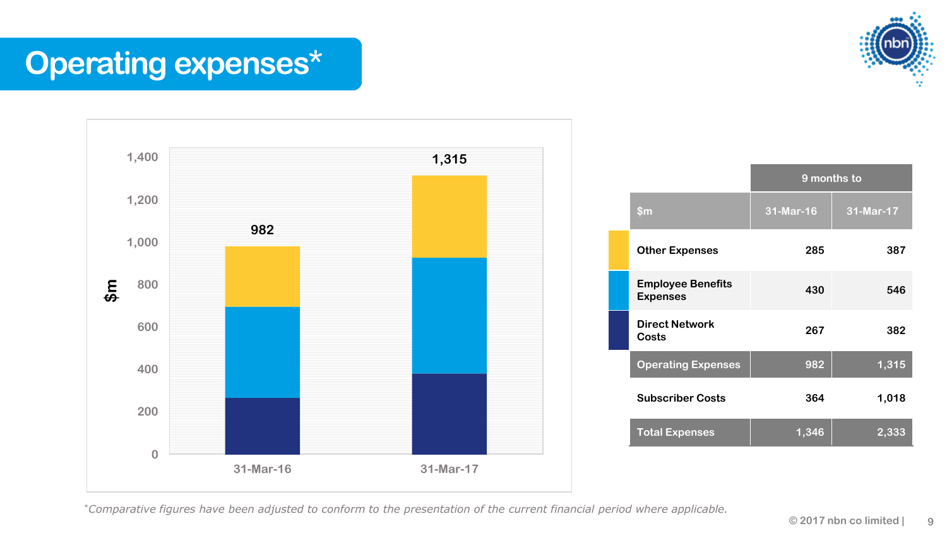## **Operating expenses\***





\**Comparative figures have been adjusted to conform to the presentation of the current financial period where applicable.*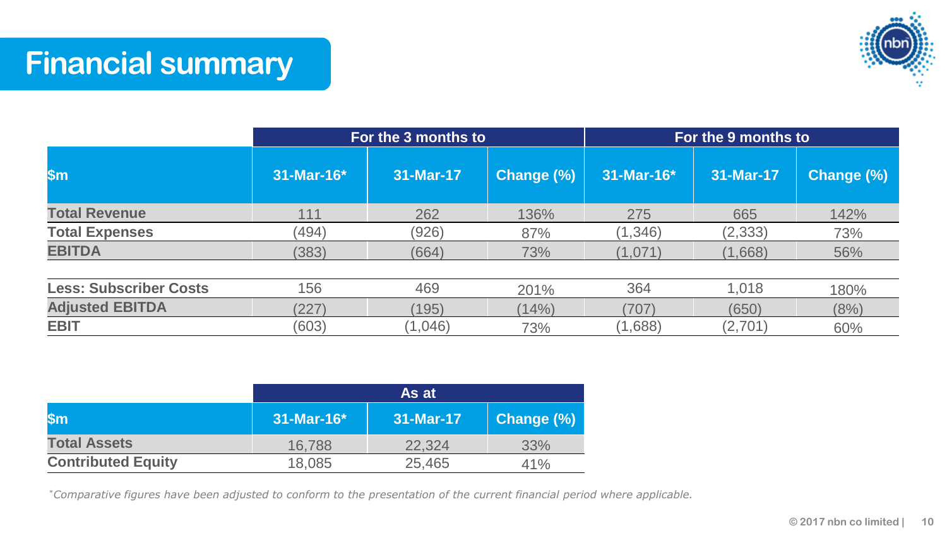**Financial summary**



|                               |            | For the 3 months to |            |            | For the 9 months to |            |  |
|-------------------------------|------------|---------------------|------------|------------|---------------------|------------|--|
| l\$m                          | 31-Mar-16* | 31-Mar-17           | Change (%) | 31-Mar-16* | 31-Mar-17           | Change (%) |  |
| <b>Total Revenue</b>          | 111        | 262                 | 136%       | 275        | 665                 | 142%       |  |
| <b>Total Expenses</b>         | (494)      | (926)               | 87%        | (1, 346)   | (2, 333)            | 73%        |  |
| <b>EBITDA</b>                 | (383)      | (664)               | 73%        | (1,071)    | (1,668)             | 56%        |  |
| <b>Less: Subscriber Costs</b> | 156        | 469                 | 201%       | 364        | 1,018               | 180%       |  |
| <b>Adjusted EBITDA</b>        | (227)      | (195)               | (14%)      | (707)      | (650)               | (8%)       |  |
| <b>EBIT</b>                   | (603)      | (1,046)             | 73%        | (1,688)    | (2,701)             | 60%        |  |

|                           | As at              |           |            |  |
|---------------------------|--------------------|-----------|------------|--|
| <b>Sm</b>                 | $31 - $ Mar-16 $*$ | 31-Mar-17 | Change (%) |  |
| <b>Total Assets</b>       | 16.788             | 22,324    | 33%        |  |
| <b>Contributed Equity</b> | 18,085             | 25,465    | 41%        |  |

\**Comparative figures have been adjusted to conform to the presentation of the current financial period where applicable.*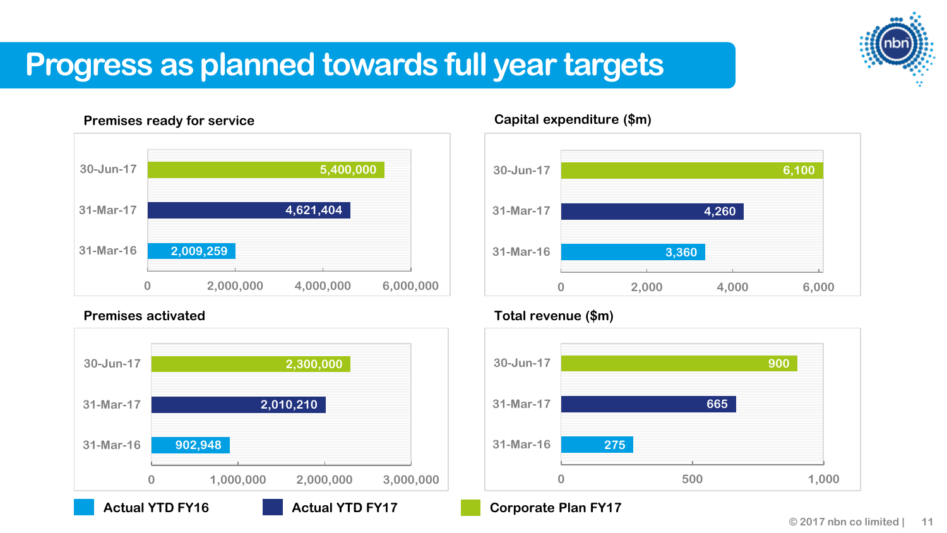### **Progress as planned towards full year targets**

#### **Premises ready for service**



#### **Premises activated**



#### **Capital expenditure (\$m)**



#### **Total revenue (\$m)**